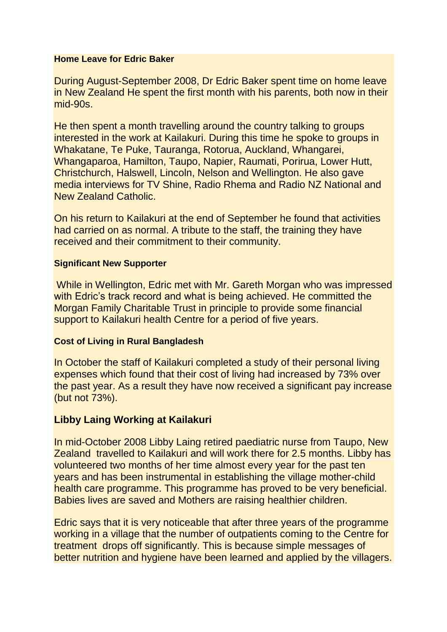#### **Home Leave for Edric Baker**

During August-September 2008, Dr Edric Baker spent time on home leave in New Zealand He spent the first month with his parents, both now in their mid-90s.

He then spent a month travelling around the country talking to groups interested in the work at Kailakuri. During this time he spoke to groups in Whakatane, Te Puke, Tauranga, Rotorua, Auckland, Whangarei, Whangaparoa, Hamilton, Taupo, Napier, Raumati, Porirua, Lower Hutt, Christchurch, Halswell, Lincoln, Nelson and Wellington. He also gave media interviews for TV Shine, Radio Rhema and Radio NZ National and New Zealand Catholic.

On his return to Kailakuri at the end of September he found that activities had carried on as normal. A tribute to the staff, the training they have received and their commitment to their community.

## **Significant New Supporter**

While in Wellington, Edric met with Mr. Gareth Morgan who was impressed with Edric's track record and what is being achieved. He committed the Morgan Family Charitable Trust in principle to provide some financial support to Kailakuri health Centre for a period of five years.

## **Cost of Living in Rural Bangladesh**

In October the staff of Kailakuri completed a study of their personal living expenses which found that their cost of living had increased by 73% over the past year. As a result they have now received a significant pay increase (but not 73%).

# **Libby Laing Working at Kailakuri**

In mid-October 2008 Libby Laing retired paediatric nurse from Taupo, New Zealand travelled to Kailakuri and will work there for 2.5 months. Libby has volunteered two months of her time almost every year for the past ten years and has been instrumental in establishing the village mother-child health care programme. This programme has proved to be very beneficial. Babies lives are saved and Mothers are raising healthier children.

Edric says that it is very noticeable that after three years of the programme working in a village that the number of outpatients coming to the Centre for treatment drops off significantly. This is because simple messages of better nutrition and hygiene have been learned and applied by the villagers.